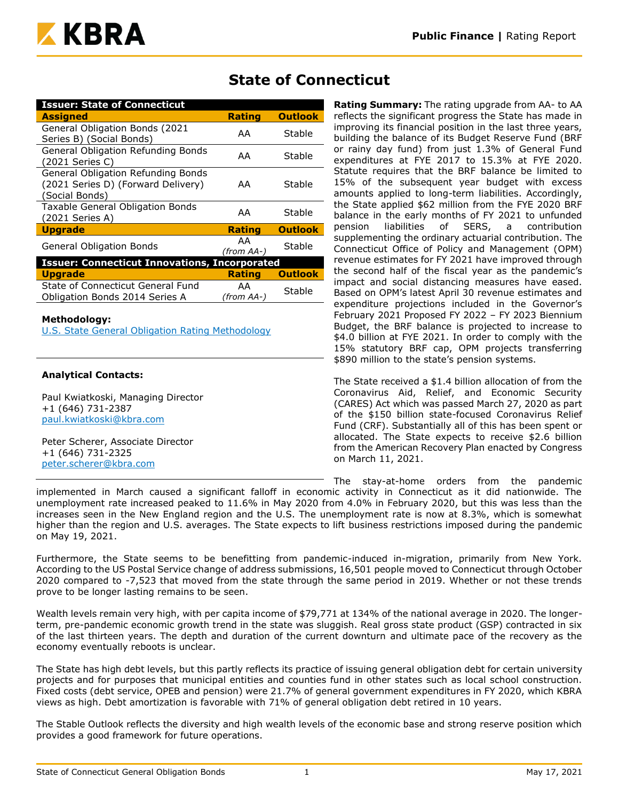

# **State of Connecticut**

| <b>Issuer: State of Connecticut</b>                                                        |                  |                |
|--------------------------------------------------------------------------------------------|------------------|----------------|
| <b>Assigned</b>                                                                            | <b>Rating</b>    | <b>Outlook</b> |
| General Obligation Bonds (2021<br>Series B) (Social Bonds)                                 | AA               | Stable         |
| General Obligation Refunding Bonds<br>(2021 Series C)                                      | AA               | Stable         |
| General Obligation Refunding Bonds<br>(2021 Series D) (Forward Delivery)<br>(Social Bonds) | AA               | Stable         |
| Taxable General Obligation Bonds<br>(2021 Series A)                                        | AA               | Stable         |
| <b>Upgrade</b>                                                                             | <b>Rating</b>    | <b>Outlook</b> |
| <b>General Obligation Bonds</b>                                                            | AA<br>(from AA-) | Stable         |
| <b>Issuer: Connecticut Innovations, Incorporated</b>                                       |                  |                |
| <b>Upgrade</b>                                                                             | <b>Rating</b>    | <b>Outlook</b> |
| State of Connecticut General Fund<br>Obligation Bonds 2014 Series A                        | AA<br>(from AA-) | Stable         |

#### **Methodology:**

[U.S. State General Obligation Rating Methodology](https://www.kbra.com/documents/report/74/public-finance-u-s-state-general-obligation-rating-methodology)

## **Analytical Contacts:**

Paul Kwiatkoski, Managing Director +1 (646) 731-2387 [paul.kwiatkoski@kbra.com](mailto:paul.kwiatkoski@kbra.com)

Peter Scherer, Associate Director +1 (646) 731-2325 [peter.scherer@kbra.com](mailto:peter.scherer@kbra.com)

#### **Rating Summary:** The rating upgrade from AA- to AA reflects the significant progress the State has made in improving its financial position in the last three years, building the balance of its Budget Reserve Fund (BRF or rainy day fund) from just 1.3% of General Fund expenditures at FYE 2017 to 15.3% at FYE 2020. Statute requires that the BRF balance be limited to 15% of the subsequent year budget with excess amounts applied to long-term liabilities. Accordingly, the State applied \$62 million from the FYE 2020 BRF balance in the early months of FY 2021 to unfunded pension liabilities of SERS, a contribution supplementing the ordinary actuarial contribution. The Connecticut Office of Policy and Management (OPM) revenue estimates for FY 2021 have improved through the second half of the fiscal year as the pandemic's impact and social distancing measures have eased. Based on OPM's latest April 30 revenue estimates and expenditure projections included in the Governor's February 2021 Proposed FY 2022 – FY 2023 Biennium Budget, the BRF balance is projected to increase to \$4.0 billion at FYE 2021. In order to comply with the 15% statutory BRF cap, OPM projects transferring \$890 million to the state's pension systems.

The State received a \$1.4 billion allocation of from the Coronavirus Aid, Relief, and Economic Security (CARES) Act which was passed March 27, 2020 as part of the \$150 billion state-focused Coronavirus Relief Fund (CRF). Substantially all of this has been spent or allocated. The State expects to receive \$2.6 billion from the American Recovery Plan enacted by Congress on March 11, 2021.

The stay-at-home orders from the pandemic

implemented in March caused a significant falloff in economic activity in Connecticut as it did nationwide. The unemployment rate increased peaked to 11.6% in May 2020 from 4.0% in February 2020, but this was less than the increases seen in the New England region and the U.S. The unemployment rate is now at 8.3%, which is somewhat higher than the region and U.S. averages. The State expects to lift business restrictions imposed during the pandemic on May 19, 2021.

Furthermore, the State seems to be benefitting from pandemic-induced in-migration, primarily from New York. According to the US Postal Service change of address submissions, 16,501 people moved to Connecticut through October 2020 compared to -7,523 that moved from the state through the same period in 2019. Whether or not these trends prove to be longer lasting remains to be seen.

Wealth levels remain very high, with per capita income of \$79,771 at 134% of the national average in 2020. The longerterm, pre-pandemic economic growth trend in the state was sluggish. Real gross state product (GSP) contracted in six of the last thirteen years. The depth and duration of the current downturn and ultimate pace of the recovery as the economy eventually reboots is unclear.

The State has high debt levels, but this partly reflects its practice of issuing general obligation debt for certain university projects and for purposes that municipal entities and counties fund in other states such as local school construction. Fixed costs (debt service, OPEB and pension) were 21.7% of general government expenditures in FY 2020, which KBRA views as high. Debt amortization is favorable with 71% of general obligation debt retired in 10 years.

The Stable Outlook reflects the diversity and high wealth levels of the economic base and strong reserve position which provides a good framework for future operations.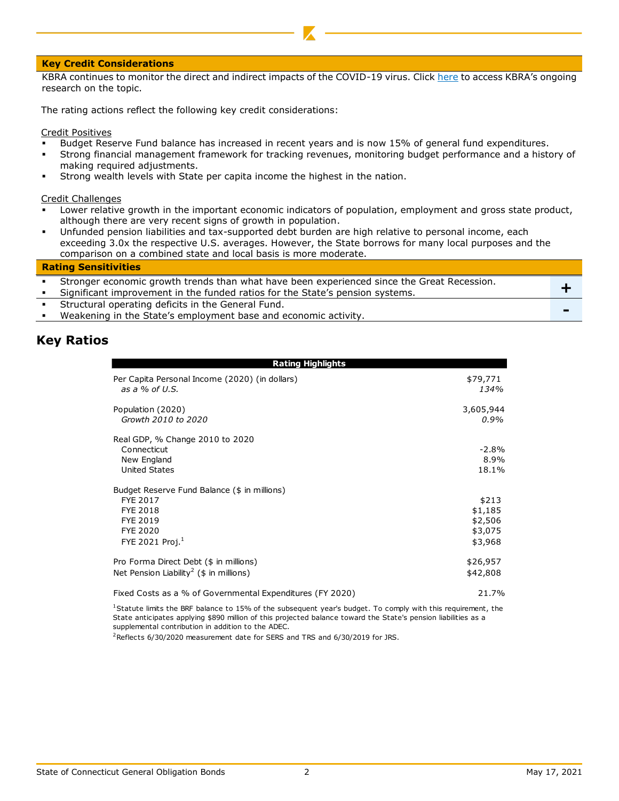#### **Key Credit Considerations**

KBRA continues to monitor the direct and indirect impacts of the COVID-19 virus. Click [here](https://www.krollbondratings.com/search/publications?page=1&publicationType=Research%20Report&q=covid-19§ors=Public%20Finance) to access KBRA's ongoing research on the topic.

The rating actions reflect the following key credit considerations:

Credit Positives

- Budget Reserve Fund balance has increased in recent years and is now 15% of general fund expenditures.
- Strong financial management framework for tracking revenues, monitoring budget performance and a history of making required adjustments.
- Strong wealth levels with State per capita income the highest in the nation.

Credit Challenges

- Lower relative growth in the important economic indicators of population, employment and gross state product, although there are very recent signs of growth in population.
- Unfunded pension liabilities and tax-supported debt burden are high relative to personal income, each exceeding 3.0x the respective U.S. averages. However, the State borrows for many local purposes and the comparison on a combined state and local basis is more moderate.

#### **Rating Sensitivities**

| Stronger economic growth trends than what have been experienced since the Great Recession. |  |
|--------------------------------------------------------------------------------------------|--|
| Significant improvement in the funded ratios for the State's pension systems.              |  |
| Structural operating deficits in the General Fund.                                         |  |
| Weakening in the State's employment base and economic activity.                            |  |

## **Key Ratios**

| Rating Highlights                                                                                                         |                                                   |
|---------------------------------------------------------------------------------------------------------------------------|---------------------------------------------------|
| Per Capita Personal Income (2020) (in dollars)<br>as a % of U.S.                                                          | \$79,771<br>134%                                  |
| Population (2020)<br>Growth 2010 to 2020                                                                                  | 3,605,944<br>$0.9\%$                              |
| Real GDP, % Change 2010 to 2020<br>Connecticut<br>New England<br>United States                                            | $-2.8\%$<br>8.9%<br>18.1%                         |
| Budget Reserve Fund Balance (\$ in millions)<br>FYE 2017<br><b>FYE 2018</b><br>FYE 2019<br>FYE 2020<br>FYE 2021 Proj. $1$ | \$213<br>\$1,185<br>\$2,506<br>\$3,075<br>\$3,968 |
| Pro Forma Direct Debt (\$ in millions)<br>Net Pension Liability <sup>2</sup> ( $\frac{1}{2}$ in millions)                 | \$26,957<br>\$42,808                              |
| Fixed Costs as a % of Governmental Expenditures (FY 2020)                                                                 | 21.7%                                             |

<sup>1</sup>Statute limits the BRF balance to 15% of the subsequent year's budget. To comply with this requirement, the State anticipates applying \$890 million of this projected balance toward the State's pension liabilities as a supplemental contribution in addition to the ADEC.

<sup>2</sup>Reflects 6/30/2020 measurement date for SERS and TRS and 6/30/2019 for JRS.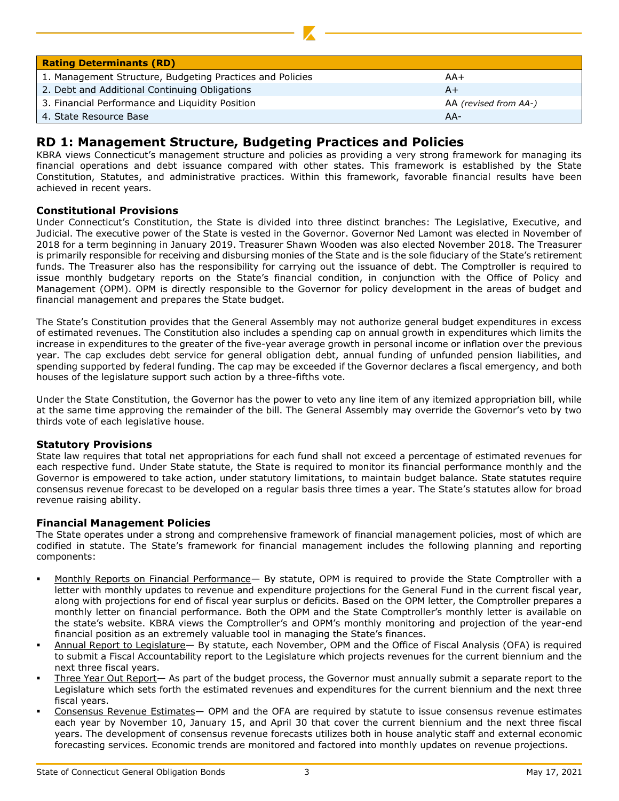| <b>Rating Determinants (RD)</b>                           |                       |
|-----------------------------------------------------------|-----------------------|
| 1. Management Structure, Budgeting Practices and Policies | AA+                   |
| 2. Debt and Additional Continuing Obligations             | $A+$                  |
| 3. Financial Performance and Liquidity Position           | AA (revised from AA-) |
| 4. State Resource Base                                    | $AA-$                 |

# **RD 1: Management Structure, Budgeting Practices and Policies**

KBRA views Connecticut's management structure and policies as providing a very strong framework for managing its financial operations and debt issuance compared with other states. This framework is established by the State Constitution, Statutes, and administrative practices. Within this framework, favorable financial results have been achieved in recent years.

## **Constitutional Provisions**

Under Connecticut's Constitution, the State is divided into three distinct branches: The Legislative, Executive, and Judicial. The executive power of the State is vested in the Governor. Governor Ned Lamont was elected in November of 2018 for a term beginning in January 2019. Treasurer Shawn Wooden was also elected November 2018. The Treasurer is primarily responsible for receiving and disbursing monies of the State and is the sole fiduciary of the State's retirement funds. The Treasurer also has the responsibility for carrying out the issuance of debt. The Comptroller is required to issue monthly budgetary reports on the State's financial condition, in conjunction with the Office of Policy and Management (OPM). OPM is directly responsible to the Governor for policy development in the areas of budget and financial management and prepares the State budget.

The State's Constitution provides that the General Assembly may not authorize general budget expenditures in excess of estimated revenues. The Constitution also includes a spending cap on annual growth in expenditures which limits the increase in expenditures to the greater of the five-year average growth in personal income or inflation over the previous year. The cap excludes debt service for general obligation debt, annual funding of unfunded pension liabilities, and spending supported by federal funding. The cap may be exceeded if the Governor declares a fiscal emergency, and both houses of the legislature support such action by a three-fifths vote.

Under the State Constitution, the Governor has the power to veto any line item of any itemized appropriation bill, while at the same time approving the remainder of the bill. The General Assembly may override the Governor's veto by two thirds vote of each legislative house.

## **Statutory Provisions**

State law requires that total net appropriations for each fund shall not exceed a percentage of estimated revenues for each respective fund. Under State statute, the State is required to monitor its financial performance monthly and the Governor is empowered to take action, under statutory limitations, to maintain budget balance. State statutes require consensus revenue forecast to be developed on a regular basis three times a year. The State's statutes allow for broad revenue raising ability.

## **Financial Management Policies**

The State operates under a strong and comprehensive framework of financial management policies, most of which are codified in statute. The State's framework for financial management includes the following planning and reporting components:

- Monthly Reports on Financial Performance— By statute, OPM is required to provide the State Comptroller with a letter with monthly updates to revenue and expenditure projections for the General Fund in the current fiscal year, along with projections for end of fiscal year surplus or deficits. Based on the OPM letter, the Comptroller prepares a monthly letter on financial performance. Both the OPM and the State Comptroller's monthly letter is available on the state's website. KBRA views the Comptroller's and OPM's monthly monitoring and projection of the year-end financial position as an extremely valuable tool in managing the State's finances.
- Annual Report to Legislature- By statute, each November, OPM and the Office of Fiscal Analysis (OFA) is required to submit a Fiscal Accountability report to the Legislature which projects revenues for the current biennium and the next three fiscal years.
- Three Year Out Report- As part of the budget process, the Governor must annually submit a separate report to the Legislature which sets forth the estimated revenues and expenditures for the current biennium and the next three fiscal years.
- Consensus Revenue Estimates- OPM and the OFA are required by statute to issue consensus revenue estimates each year by November 10, January 15, and April 30 that cover the current biennium and the next three fiscal years. The development of consensus revenue forecasts utilizes both in house analytic staff and external economic forecasting services. Economic trends are monitored and factored into monthly updates on revenue projections.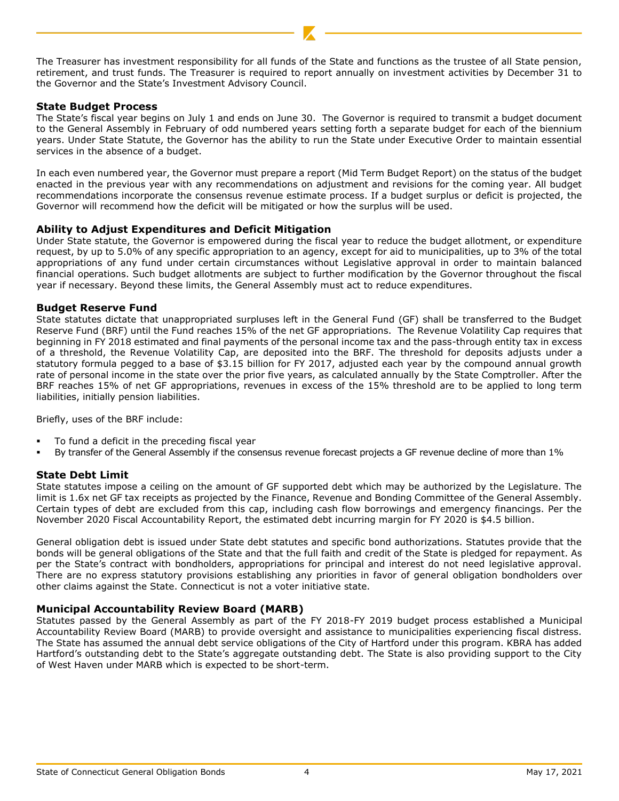The Treasurer has investment responsibility for all funds of the State and functions as the trustee of all State pension, retirement, and trust funds. The Treasurer is required to report annually on investment activities by December 31 to the Governor and the State's Investment Advisory Council.

## **State Budget Process**

The State's fiscal year begins on July 1 and ends on June 30. The Governor is required to transmit a budget document to the General Assembly in February of odd numbered years setting forth a separate budget for each of the biennium years. Under State Statute, the Governor has the ability to run the State under Executive Order to maintain essential services in the absence of a budget.

In each even numbered year, the Governor must prepare a report (Mid Term Budget Report) on the status of the budget enacted in the previous year with any recommendations on adjustment and revisions for the coming year. All budget recommendations incorporate the consensus revenue estimate process. If a budget surplus or deficit is projected, the Governor will recommend how the deficit will be mitigated or how the surplus will be used.

## **Ability to Adjust Expenditures and Deficit Mitigation**

Under State statute, the Governor is empowered during the fiscal year to reduce the budget allotment, or expenditure request, by up to 5.0% of any specific appropriation to an agency, except for aid to municipalities, up to 3% of the total appropriations of any fund under certain circumstances without Legislative approval in order to maintain balanced financial operations. Such budget allotments are subject to further modification by the Governor throughout the fiscal year if necessary. Beyond these limits, the General Assembly must act to reduce expenditures.

## **Budget Reserve Fund**

State statutes dictate that unappropriated surpluses left in the General Fund (GF) shall be transferred to the Budget Reserve Fund (BRF) until the Fund reaches 15% of the net GF appropriations. The Revenue Volatility Cap requires that beginning in FY 2018 estimated and final payments of the personal income tax and the pass-through entity tax in excess of a threshold, the Revenue Volatility Cap, are deposited into the BRF. The threshold for deposits adjusts under a statutory formula pegged to a base of \$3.15 billion for FY 2017, adjusted each year by the compound annual growth rate of personal income in the state over the prior five years, as calculated annually by the State Comptroller. After the BRF reaches 15% of net GF appropriations, revenues in excess of the 15% threshold are to be applied to long term liabilities, initially pension liabilities.

Briefly, uses of the BRF include:

- To fund a deficit in the preceding fiscal year
- By transfer of the General Assembly if the consensus revenue forecast projects a GF revenue decline of more than 1%

## **State Debt Limit**

State statutes impose a ceiling on the amount of GF supported debt which may be authorized by the Legislature. The limit is 1.6x net GF tax receipts as projected by the Finance, Revenue and Bonding Committee of the General Assembly. Certain types of debt are excluded from this cap, including cash flow borrowings and emergency financings. Per the November 2020 Fiscal Accountability Report, the estimated debt incurring margin for FY 2020 is \$4.5 billion.

General obligation debt is issued under State debt statutes and specific bond authorizations. Statutes provide that the bonds will be general obligations of the State and that the full faith and credit of the State is pledged for repayment. As per the State's contract with bondholders, appropriations for principal and interest do not need legislative approval. There are no express statutory provisions establishing any priorities in favor of general obligation bondholders over other claims against the State. Connecticut is not a voter initiative state.

## **Municipal Accountability Review Board (MARB)**

Statutes passed by the General Assembly as part of the FY 2018-FY 2019 budget process established a Municipal Accountability Review Board (MARB) to provide oversight and assistance to municipalities experiencing fiscal distress. The State has assumed the annual debt service obligations of the City of Hartford under this program. KBRA has added Hartford's outstanding debt to the State's aggregate outstanding debt. The State is also providing support to the City of West Haven under MARB which is expected to be short-term.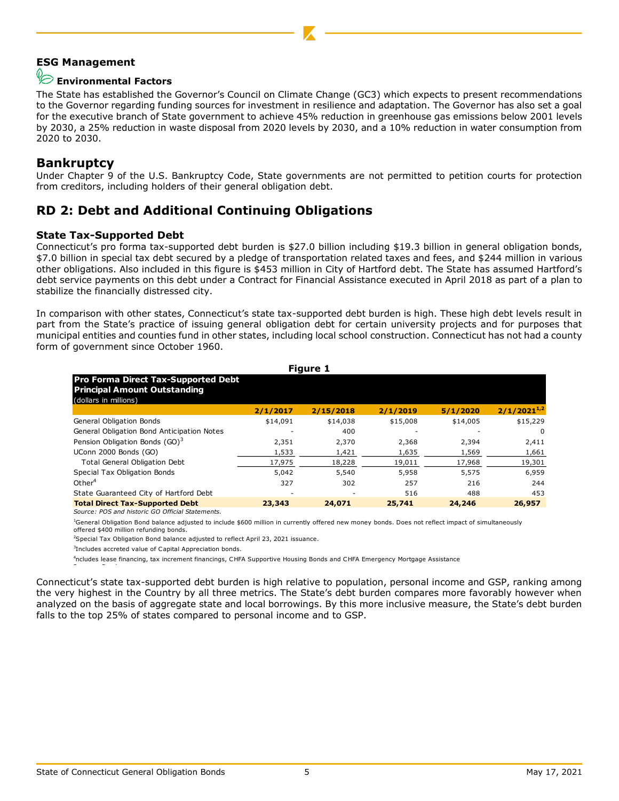## **ESG Management**

# **Environmental Factors**

The State has established the Governor's Council on Climate Change (GC3) which expects to present recommendations to the Governor regarding funding sources for investment in resilience and adaptation. The Governor has also set a goal for the executive branch of State government to achieve 45% reduction in greenhouse gas emissions below 2001 levels by 2030, a 25% reduction in waste disposal from 2020 levels by 2030, and a 10% reduction in water consumption from 2020 to 2030.

## **Bankruptcy**

Under Chapter 9 of the U.S. Bankruptcy Code, State governments are not permitted to petition courts for protection from creditors, including holders of their general obligation debt.

# **RD 2: Debt and Additional Continuing Obligations**

#### **State Tax-Supported Debt**

Connecticut's pro forma tax-supported debt burden is \$27.0 billion including \$19.3 billion in general obligation bonds, \$7.0 billion in special tax debt secured by a pledge of transportation related taxes and fees, and \$244 million in various other obligations. Also included in this figure is \$453 million in City of Hartford debt. The State has assumed Hartford's debt service payments on this debt under a Contract for Financial Assistance executed in April 2018 as part of a plan to stabilize the financially distressed city.

In comparison with other states, Connecticut's state tax-supported debt burden is high. These high debt levels result in part from the State's practice of issuing general obligation debt for certain university projects and for purposes that municipal entities and counties fund in other states, including local school construction. Connecticut has not had a county form of government since October 1960.

|                                                                                                            | <b>Figure 1</b> |           |          |          |                  |  |  |  |  |  |
|------------------------------------------------------------------------------------------------------------|-----------------|-----------|----------|----------|------------------|--|--|--|--|--|
| <b>Pro Forma Direct Tax-Supported Debt</b><br><b>Principal Amount Outstanding</b><br>(dollars in millions) |                 |           |          |          |                  |  |  |  |  |  |
|                                                                                                            | 2/1/2017        | 2/15/2018 | 2/1/2019 | 5/1/2020 | $2/1/2021^{1/2}$ |  |  |  |  |  |
| General Obligation Bonds                                                                                   | \$14,091        | \$14,038  | \$15,008 | \$14,005 | \$15,229         |  |  |  |  |  |
| General Obligation Bond Anticipation Notes                                                                 |                 | 400       |          |          | 0                |  |  |  |  |  |
| Pension Obligation Bonds (GO) <sup>3</sup>                                                                 | 2,351           | 2,370     | 2,368    | 2,394    | 2,411            |  |  |  |  |  |
| UConn 2000 Bonds (GO)                                                                                      | 1,533           | 1,421     | 1,635    | 1,569    | 1,661            |  |  |  |  |  |
| <b>Total General Obligation Debt</b>                                                                       | 17,975          | 18,228    | 19,011   | 17,968   | 19,301           |  |  |  |  |  |
| Special Tax Obligation Bonds                                                                               | 5,042           | 5,540     | 5,958    | 5,575    | 6,959            |  |  |  |  |  |
| Other <sup>4</sup>                                                                                         | 327             | 302       | 257      | 216      | 244              |  |  |  |  |  |
| State Guaranteed City of Hartford Debt                                                                     |                 | ٠         | 516      | 488      | 453              |  |  |  |  |  |
| <b>Total Direct Tax-Supported Debt</b>                                                                     | 23,343          | 24,071    | 25,741   | 24,246   | 26,957           |  |  |  |  |  |
| Source: POS and historic GO Official Statements.                                                           |                 |           |          |          |                  |  |  |  |  |  |

<sup>1</sup>General Obligation Bond balance adjusted to include \$600 million in currently offered new money bonds. Does not reflect impact of simultaneously offered \$400 million refunding bonds.

 $^{2}$ Special Tax Obligation Bond balance adjusted to reflect April 23, 2021 issuance.

3 Includes accreted value of Capital Appreciation bonds.

<sup>4</sup>ncludes lease financing, tax increment financings, CHFA Supportive Housing Bonds and CHFA Emergency Mortgage Assistance

Connecticut's state tax-supported debt burden is high relative to population, personal income and GSP, ranking among the very highest in the Country by all three metrics. The State's debt burden compares more favorably however when analyzed on the basis of aggregate state and local borrowings. By this more inclusive measure, the State's debt burden falls to the top 25% of states compared to personal income and to GSP.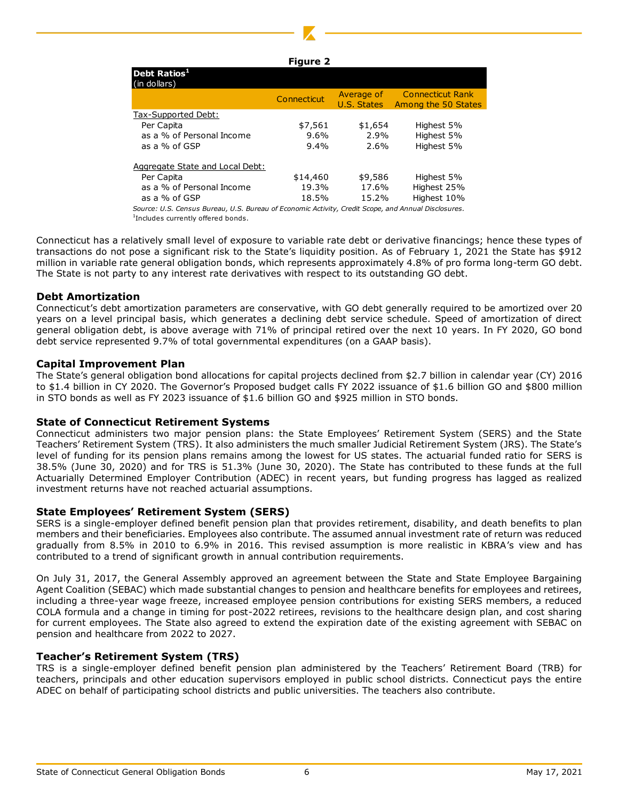#### **Figure 2**

| Debt Ratios <sup>1</sup><br>(in dollars)                                                            |             |                           |                                                |
|-----------------------------------------------------------------------------------------------------|-------------|---------------------------|------------------------------------------------|
|                                                                                                     | Connecticut | Average of<br>U.S. States | <b>Connecticut Rank</b><br>Among the 50 States |
| Tax-Supported Debt:                                                                                 |             |                           |                                                |
| Per Capita                                                                                          | \$7,561     | \$1,654                   | Highest 5%                                     |
| as a % of Personal Income                                                                           | $9.6\%$     | 2.9%                      | Highest 5%                                     |
| as a % of GSP                                                                                       | $9.4\%$     | 2.6%                      | Highest 5%                                     |
| Aggregate State and Local Debt:                                                                     |             |                           |                                                |
| Per Capita                                                                                          | \$14,460    | \$9,586                   | Highest 5%                                     |
| as a % of Personal Income                                                                           | 19.3%       | 17.6%                     | Highest 25%                                    |
| as a % of GSP                                                                                       | 18.5%       | 15.2%                     | Highest 10%                                    |
| Source: U.S. Census Bureau, U.S. Bureau of Economic Activity, Credit Scope, and Annual Disclosures. |             |                           |                                                |

1 Includes currently offered bonds.

Connecticut has a relatively small level of exposure to variable rate debt or derivative financings; hence these types of transactions do not pose a significant risk to the State's liquidity position. As of February 1, 2021 the State has \$912 million in variable rate general obligation bonds, which represents approximately 4.8% of pro forma long-term GO debt. The State is not party to any interest rate derivatives with respect to its outstanding GO debt.

#### **Debt Amortization**

Connecticut's debt amortization parameters are conservative, with GO debt generally required to be amortized over 20 years on a level principal basis, which generates a declining debt service schedule. Speed of amortization of direct general obligation debt, is above average with 71% of principal retired over the next 10 years. In FY 2020, GO bond debt service represented 9.7% of total governmental expenditures (on a GAAP basis).

#### **Capital Improvement Plan**

The State's general obligation bond allocations for capital projects declined from \$2.7 billion in calendar year (CY) 2016 to \$1.4 billion in CY 2020. The Governor's Proposed budget calls FY 2022 issuance of \$1.6 billion GO and \$800 million in STO bonds as well as FY 2023 issuance of \$1.6 billion GO and \$925 million in STO bonds.

#### **State of Connecticut Retirement Systems**

Connecticut administers two major pension plans: the State Employees' Retirement System (SERS) and the State Teachers' Retirement System (TRS). It also administers the much smaller Judicial Retirement System (JRS). The State's level of funding for its pension plans remains among the lowest for US states. The actuarial funded ratio for SERS is 38.5% (June 30, 2020) and for TRS is 51.3% (June 30, 2020). The State has contributed to these funds at the full Actuarially Determined Employer Contribution (ADEC) in recent years, but funding progress has lagged as realized investment returns have not reached actuarial assumptions.

#### **State Employees' Retirement System (SERS)**

SERS is a single-employer defined benefit pension plan that provides retirement, disability, and death benefits to plan members and their beneficiaries. Employees also contribute. The assumed annual investment rate of return was reduced gradually from 8.5% in 2010 to 6.9% in 2016. This revised assumption is more realistic in KBRA's view and has contributed to a trend of significant growth in annual contribution requirements.

On July 31, 2017, the General Assembly approved an agreement between the State and State Employee Bargaining Agent Coalition (SEBAC) which made substantial changes to pension and healthcare benefits for employees and retirees, including a three-year wage freeze, increased employee pension contributions for existing SERS members, a reduced COLA formula and a change in timing for post-2022 retirees, revisions to the healthcare design plan, and cost sharing for current employees. The State also agreed to extend the expiration date of the existing agreement with SEBAC on pension and healthcare from 2022 to 2027.

#### **Teacher's Retirement System (TRS)**

TRS is a single-employer defined benefit pension plan administered by the Teachers' Retirement Board (TRB) for teachers, principals and other education supervisors employed in public school districts. Connecticut pays the entire ADEC on behalf of participating school districts and public universities. The teachers also contribute.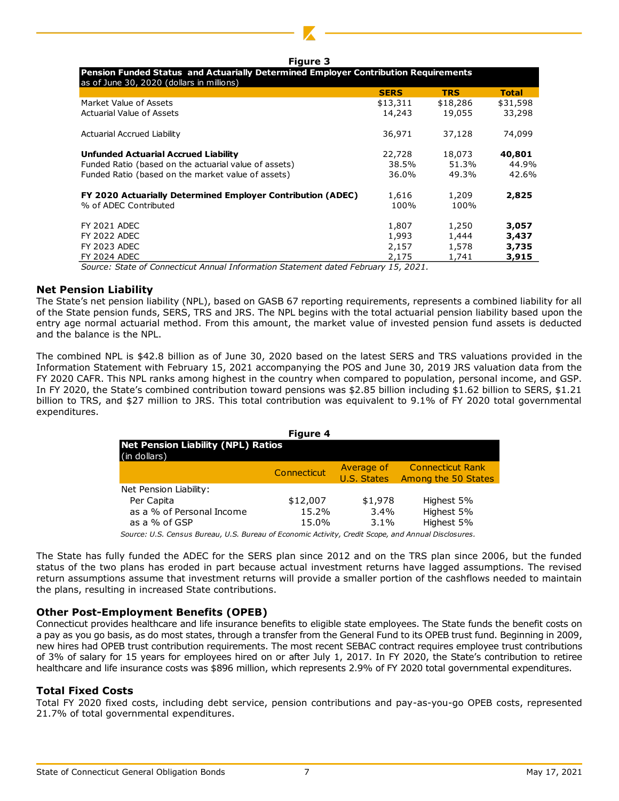| <b>Figure 3</b>                                                                                                                  |             |            |              |  |  |  |  |  |
|----------------------------------------------------------------------------------------------------------------------------------|-------------|------------|--------------|--|--|--|--|--|
| Pension Funded Status and Actuarially Determined Employer Contribution Requirements<br>as of June 30, 2020 (dollars in millions) |             |            |              |  |  |  |  |  |
|                                                                                                                                  | <b>SERS</b> | <b>TRS</b> | <b>Total</b> |  |  |  |  |  |
| Market Value of Assets                                                                                                           | \$13,311    | \$18,286   | \$31,598     |  |  |  |  |  |
| Actuarial Value of Assets                                                                                                        | 14,243      | 19,055     | 33,298       |  |  |  |  |  |
| Actuarial Accrued Liability                                                                                                      | 36,971      | 37,128     | 74,099       |  |  |  |  |  |
| <b>Unfunded Actuarial Accrued Liability</b>                                                                                      | 22,728      | 18,073     | 40,801       |  |  |  |  |  |
| Funded Ratio (based on the actuarial value of assets)                                                                            | 38.5%       | 51.3%      | 44.9%        |  |  |  |  |  |
| Funded Ratio (based on the market value of assets)                                                                               | 36.0%       | 49.3%      | 42.6%        |  |  |  |  |  |
| FY 2020 Actuarially Determined Employer Contribution (ADEC)                                                                      | 1,616       | 1,209      | 2,825        |  |  |  |  |  |
| % of ADEC Contributed                                                                                                            | 100%        | 100%       |              |  |  |  |  |  |
| <b>FY 2021 ADEC</b>                                                                                                              | 1,807       | 1,250      | 3,057        |  |  |  |  |  |
| <b>FY 2022 ADEC</b>                                                                                                              | 1,993       | 1,444      | 3,437        |  |  |  |  |  |
| <b>FY 2023 ADEC</b>                                                                                                              | 2,157       | 1,578      | 3,735        |  |  |  |  |  |
| <b>FY 2024 ADEC</b>                                                                                                              | 2,175       | 1.741      | 3,915        |  |  |  |  |  |

*Source: State of Connecticut Annual Information Statement dated February 15, 2021.*

#### **Net Pension Liability**

The State's net pension liability (NPL), based on GASB 67 reporting requirements, represents a combined liability for all of the State pension funds, SERS, TRS and JRS. The NPL begins with the total actuarial pension liability based upon the entry age normal actuarial method. From this amount, the market value of invested pension fund assets is deducted and the balance is the NPL.

The combined NPL is \$42.8 billion as of June 30, 2020 based on the latest SERS and TRS valuations provided in the Information Statement with February 15, 2021 accompanying the POS and June 30, 2019 JRS valuation data from the FY 2020 CAFR. This NPL ranks among highest in the country when compared to population, personal income, and GSP. In FY 2020, the State's combined contribution toward pensions was \$2.85 billion including \$1.62 billion to SERS, \$1.21 billion to TRS, and \$27 million to JRS. This total contribution was equivalent to 9.1% of FY 2020 total governmental expenditures.

| <b>Figure 4</b>                                           |             |                           |                                                |  |  |  |  |  |  |
|-----------------------------------------------------------|-------------|---------------------------|------------------------------------------------|--|--|--|--|--|--|
| <b>Net Pension Liability (NPL) Ratios</b><br>(in dollars) |             |                           |                                                |  |  |  |  |  |  |
|                                                           | Connecticut | Average of<br>U.S. States | <b>Connecticut Rank</b><br>Among the 50 States |  |  |  |  |  |  |
| Net Pension Liability:                                    |             |                           |                                                |  |  |  |  |  |  |
| Per Capita                                                | \$12,007    | \$1,978                   | Highest 5%                                     |  |  |  |  |  |  |
| as a % of Personal Income                                 | 15.2%       | 3.4%                      | Highest 5%                                     |  |  |  |  |  |  |
| as a % of GSP                                             | 15.0%       | $3.1\%$                   | Highest 5%                                     |  |  |  |  |  |  |
|                                                           |             |                           |                                                |  |  |  |  |  |  |

*Source: U.S. Census Bureau, U.S. Bureau of Economic Activity, Credit Scope, and Annual Disclosures.*

The State has fully funded the ADEC for the SERS plan since 2012 and on the TRS plan since 2006, but the funded status of the two plans has eroded in part because actual investment returns have lagged assumptions. The revised return assumptions assume that investment returns will provide a smaller portion of the cashflows needed to maintain the plans, resulting in increased State contributions.

#### **Other Post-Employment Benefits (OPEB)**

Connecticut provides healthcare and life insurance benefits to eligible state employees. The State funds the benefit costs on a pay as you go basis, as do most states, through a transfer from the General Fund to its OPEB trust fund. Beginning in 2009, new hires had OPEB trust contribution requirements. The most recent SEBAC contract requires employee trust contributions of 3% of salary for 15 years for employees hired on or after July 1, 2017. In FY 2020, the State's contribution to retiree healthcare and life insurance costs was \$896 million, which represents 2.9% of FY 2020 total governmental expenditures.

#### **Total Fixed Costs**

Total FY 2020 fixed costs, including debt service, pension contributions and pay-as-you-go OPEB costs, represented 21.7% of total governmental expenditures.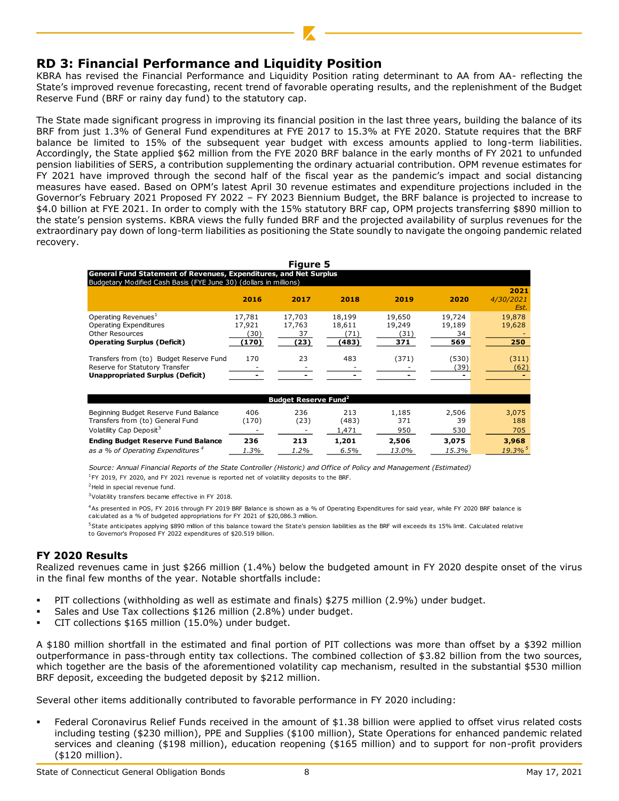## **RD 3: Financial Performance and Liquidity Position**

KBRA has revised the Financial Performance and Liquidity Position rating determinant to AA from AA- reflecting the State's improved revenue forecasting, recent trend of favorable operating results, and the replenishment of the Budget Reserve Fund (BRF or rainy day fund) to the statutory cap.

The State made significant progress in improving its financial position in the last three years, building the balance of its BRF from just 1.3% of General Fund expenditures at FYE 2017 to 15.3% at FYE 2020. Statute requires that the BRF balance be limited to 15% of the subsequent year budget with excess amounts applied to long-term liabilities. Accordingly, the State applied \$62 million from the FYE 2020 BRF balance in the early months of FY 2021 to unfunded pension liabilities of SERS, a contribution supplementing the ordinary actuarial contribution. OPM revenue estimates for FY 2021 have improved through the second half of the fiscal year as the pandemic's impact and social distancing measures have eased. Based on OPM's latest April 30 revenue estimates and expenditure projections included in the Governor's February 2021 Proposed FY 2022 – FY 2023 Biennium Budget, the BRF balance is projected to increase to \$4.0 billion at FYE 2021. In order to comply with the 15% statutory BRF cap, OPM projects transferring \$890 million to the state's pension systems. KBRA views the fully funded BRF and the projected availability of surplus revenues for the extraordinary pay down of long-term liabilities as positioning the State soundly to navigate the ongoing pandemic related recovery.

| <b>Figure 5</b>                                                                                                                               |                                  |                                |                                   |                                |                               |                         |  |  |  |
|-----------------------------------------------------------------------------------------------------------------------------------------------|----------------------------------|--------------------------------|-----------------------------------|--------------------------------|-------------------------------|-------------------------|--|--|--|
| <b>General Fund Statement of Revenues, Expenditures, and Net Surplus</b><br>Budgetary Modified Cash Basis (FYE June 30) (dollars in millions) |                                  |                                |                                   |                                |                               |                         |  |  |  |
|                                                                                                                                               |                                  |                                |                                   |                                |                               | 2021                    |  |  |  |
|                                                                                                                                               | 2016                             | 2017                           | 2018                              | 2019                           | 2020                          | 4/30/2021<br>Est.       |  |  |  |
| Operating Revenues <sup>1</sup><br>Operating Expenditures<br>Other Resources<br><b>Operating Surplus (Deficit)</b>                            | 17,781<br>17,921<br>30)<br>(170) | 17,703<br>17,763<br>37<br>(23) | 18,199<br>18,611<br>(71)<br>(483) | 19,650<br>19,249<br>31)<br>371 | 19,724<br>19,189<br>34<br>569 | 19,878<br>19,628<br>250 |  |  |  |
| Transfers from (to) Budget Reserve Fund<br>Reserve for Statutory Transfer<br><b>Unappropriated Surplus (Deficit)</b>                          | 170                              | 23                             | 483                               | (371)                          | (530)<br>(39)                 | (311)<br>(62)           |  |  |  |

| Budget Reserve Fund <sup>2</sup>              |       |      |       |       |       |                       |  |  |
|-----------------------------------------------|-------|------|-------|-------|-------|-----------------------|--|--|
| Beginning Budget Reserve Fund Balance         | 406   | 236  | 213   | 1,185 | 2,506 | 3,075                 |  |  |
| Transfers from (to) General Fund              | (170) | (23) | (483) | 371   | 39    | 188                   |  |  |
| Volatility Cap Deposit <sup>3</sup>           |       |      | 1,471 | 950   | 530   | 705                   |  |  |
| <b>Ending Budget Reserve Fund Balance</b>     | 236   | 213  | 1,201 | 2,506 | 3,075 | 3,968                 |  |  |
| as a % of Operating Expenditures <sup>4</sup> | 1.3%  | 1.2% | 6.5%  | 13.0% | 15.3% | $19.3\%$ <sup>5</sup> |  |  |

 $1$ FY 2019, FY 2020, and FY 2021 revenue is reported net of volatility deposits to the BRF. *Source: Annual Financial Reports of the State Controller (Historic) and Office of Policy and Management (Estimated)*

<sup>2</sup>Held in special revenue fund.

<sup>3</sup>Volatility transfers became effective in FY 2018.

<sup>4</sup>As presented in POS, FY 2016 through FY 2019 BRF Balance is shown as a % of Operating Expenditures for said year, while FY 2020 BRF balance is calculated as a % of budgeted appropriations for FY 2021 of \$20,086.3 million.

<sup>5</sup>State anticipates applying \$890 million of this balance toward the State's pension liabilities as the BRF will exceeds its 15% limit. Calculated relative to Governor's Proposed FY 2022 expenditures of \$20.519 billion.

## **FY 2020 Results**

Realized revenues came in just \$266 million (1.4%) below the budgeted amount in FY 2020 despite onset of the virus in the final few months of the year. Notable shortfalls include:

- PIT collections (withholding as well as estimate and finals) \$275 million (2.9%) under budget.
- Sales and Use Tax collections \$126 million (2.8%) under budget.
- CIT collections \$165 million (15.0%) under budget.

A \$180 million shortfall in the estimated and final portion of PIT collections was more than offset by a \$392 million outperformance in pass-through entity tax collections. The combined collection of \$3.82 billion from the two sources, which together are the basis of the aforementioned volatility cap mechanism, resulted in the substantial \$530 million BRF deposit, exceeding the budgeted deposit by \$212 million.

Several other items additionally contributed to favorable performance in FY 2020 including:

Federal Coronavirus Relief Funds received in the amount of \$1.38 billion were applied to offset virus related costs including testing (\$230 million), PPE and Supplies (\$100 million), State Operations for enhanced pandemic related services and cleaning (\$198 million), education reopening (\$165 million) and to support for non-profit providers (\$120 million).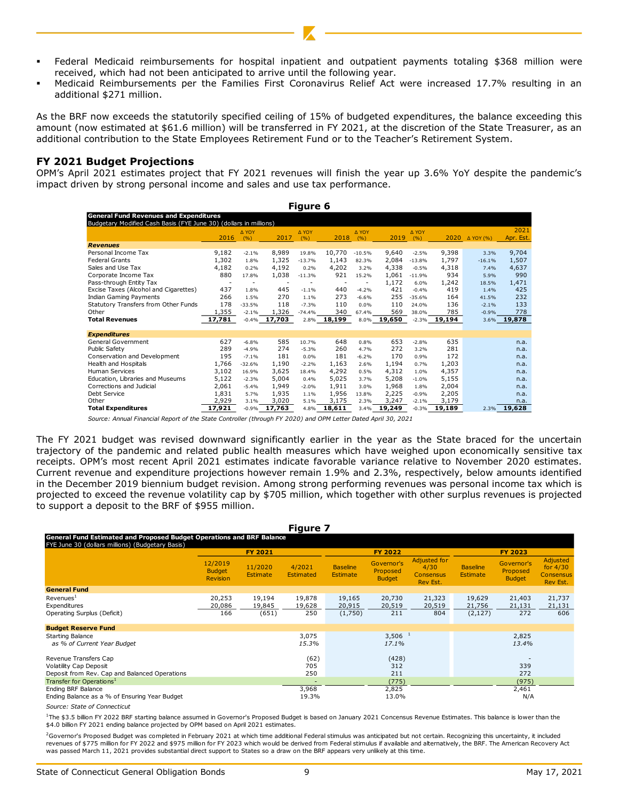- Federal Medicaid reimbursements for hospital inpatient and outpatient payments totaling \$368 million were received, which had not been anticipated to arrive until the following year.
- Medicaid Reimbursements per the Families First Coronavirus Relief Act were increased 17.7% resulting in an additional \$271 million.

As the BRF now exceeds the statutorily specified ceiling of 15% of budgeted expenditures, the balance exceeding this amount (now estimated at \$61.6 million) will be transferred in FY 2021, at the discretion of the State Treasurer, as an additional contribution to the State Employees Retirement Fund or to the Teacher's Retirement System.

#### **FY 2021 Budget Projections**

OPM's April 2021 estimates project that FY 2021 revenues will finish the year up 3.6% YoY despite the pandemic's impact driven by strong personal income and sales and use tax performance.

| Figure 6                                                          |                                               |                |        |              |        |              |        |              |                 |           |                   |
|-------------------------------------------------------------------|-----------------------------------------------|----------------|--------|--------------|--------|--------------|--------|--------------|-----------------|-----------|-------------------|
|                                                                   | <b>General Fund Revenues and Expenditures</b> |                |        |              |        |              |        |              |                 |           |                   |
| Budgetary Modified Cash Basis (FYE June 30) (dollars in millions) |                                               |                |        |              |        |              |        |              |                 |           |                   |
|                                                                   | 2016                                          | A YOY<br>(9/6) | 2017   | A YOY<br>(%) | 2018   | A YOY<br>(%) | 2019   | A YOY<br>(%) | 2020            | Δ YOY (%) | 2021<br>Apr. Est. |
| <b>Revenues</b>                                                   |                                               |                |        |              |        |              |        |              |                 |           |                   |
| Personal Income Tax                                               | 9,182                                         | $-2.1%$        | 8,989  | 19.8%        | 10,770 | $-10.5%$     | 9,640  | $-2.5%$      | 9,398           | 3.3%      | 9,704             |
| <b>Federal Grants</b>                                             | 1,302                                         | 1.8%           | 1,325  | $-13.7%$     | 1,143  | 82.3%        | 2,084  | $-13.8%$     | 1,797           | $-16.1%$  | 1,507             |
| Sales and Use Tax                                                 | 4,182                                         | 0.2%           | 4,192  | 0.2%         | 4,202  | 3.2%         | 4,338  | $-0.5%$      | 4,318           | 7.4%      | 4,637             |
| Corporate Income Tax                                              | 880                                           | 17.8%          | 1,038  | $-11.3%$     | 921    | 15.2%        | 1,061  | $-11.9%$     | 934             | 5.9%      | 990               |
| Pass-through Entity Tax                                           | ٠                                             |                | ٠      |              |        |              | 1,172  | 6.0%         | 1,242           | 18.5%     | 1,471             |
| Excise Taxes (Alcohol and Cigarettes)                             | 437                                           | 1.8%           | 445    | $-1.1%$      | 440    | $-4.2%$      | 421    | $-0.4%$      | 419             | 1.4%      | 425               |
| <b>Indian Gaming Payments</b>                                     | 266                                           | 1.5%           | 270    | 1.1%         | 273    | $-6.6%$      | 255    | $-35.6%$     | 164             | 41.5%     | 232               |
| Statutory Transfers from Other Funds                              | 178                                           | $-33.5%$       | 118    | $-7.3%$      | 110    | 0.0%         | 110    | 24.0%        | 136             | $-2.1%$   | 133               |
| Other                                                             | 1,355                                         | $-2.1%$        | 1,326  | $-74.4%$     | 340    | 67.4%        | 569    | 38.0%        | 785             | $-0.9%$   | 778               |
| <b>Total Revenues</b>                                             | 17,781                                        | $-0.4%$        | 17,703 | 2.8%         | 18,199 | 8.0%         | 19,650 |              | $-2.3\%$ 19,194 |           | 3.6% 19,878       |
| <b>Expenditures</b>                                               |                                               |                |        |              |        |              |        |              |                 |           |                   |
| General Government                                                | 627                                           | $-6.8%$        | 585    | 10.7%        | 648    | 0.8%         | 653    | $-2.8%$      | 635             |           | n.a.              |
| Public Safety                                                     | 289                                           | $-4.9%$        | 274    | $-5.3%$      | 260    | 4.7%         | 272    | 3.2%         | 281             |           | n.a.              |
| Conservation and Development                                      | 195                                           | $-7.1%$        | 181    | 0.0%         | 181    | $-6.2%$      | 170    | 0.9%         | 172             |           | n.a.              |
| Health and Hospitals                                              | 1,766                                         | $-32.6%$       | 1,190  | $-2.2%$      | 1,163  | 2.6%         | 1,194  | 0.7%         | 1,203           |           | n.a.              |
| <b>Human Services</b>                                             | 3,102                                         | 16.9%          | 3,625  | 18.4%        | 4,292  | 0.5%         | 4,312  | 1.0%         | 4,357           |           | n.a.              |
| Education, Libraries and Museums                                  | 5,122                                         | $-2.3%$        | 5,004  | 0.4%         | 5,025  | 3.7%         | 5,208  | $-1.0%$      | 5,155           |           | n.a.              |
| Corrections and Judicial                                          | 2,061                                         | $-5.4%$        | 1,949  | $-2.0%$      | 1,911  | 3.0%         | 1,968  | 1.8%         | 2,004           |           | n.a.              |
| Debt Service                                                      | 1,831                                         | 5.7%           | 1,935  | 1.1%         | 1,956  | 13.8%        | 2,225  | $-0.9%$      | 2,205           |           | n.a.              |
| Other                                                             | 2,929                                         | 3.1%           | 3,020  | 5.1%         | 3,175  | 2.3%         | 3,247  | $-2.1%$      | 3,179           |           | n.a.              |
| <b>Total Expenditures</b>                                         | 17,921                                        | $-0.9%$        | 17,763 | 4.8%         | 18,611 | 3.4%         | 19,249 | $-0.3%$      | 19,189          | 2.3%      | 19,628            |

*Source: Annual Financial Report of the State Controller (through FY 2020) and OPM Letter Dated April 30, 2021*

The FY 2021 budget was revised downward significantly earlier in the year as the State braced for the uncertain trajectory of the pandemic and related public health measures which have weighed upon economically sensitive tax receipts. OPM's most recent April 2021 estimates indicate favorable variance relative to November 2020 estimates. Current revenue and expenditure projections however remain 1.9% and 2.3%, respectively, below amounts identified in the December 2019 biennium budget revision. Among strong performing revenues was personal income tax which is projected to exceed the revenue volatility cap by \$705 million, which together with other surplus revenues is projected to support a deposit to the BRF of \$955 million.

| <b>Figure 7</b>                                                                                                                  |                                             |                            |                                            |                                    |                                         |                                                             |                                    |                                         |                                                        |  |  |
|----------------------------------------------------------------------------------------------------------------------------------|---------------------------------------------|----------------------------|--------------------------------------------|------------------------------------|-----------------------------------------|-------------------------------------------------------------|------------------------------------|-----------------------------------------|--------------------------------------------------------|--|--|
| <b>General Fund Estimated and Proposed Budget Operations and BRF Balance</b><br>FYE June 30 (dollars millions) (Budgetary Basis) |                                             |                            |                                            |                                    |                                         |                                                             |                                    |                                         |                                                        |  |  |
|                                                                                                                                  |                                             | <b>FY 2021</b>             |                                            |                                    | <b>FY 2022</b>                          |                                                             |                                    | <b>FY 2023</b>                          |                                                        |  |  |
|                                                                                                                                  | 12/2019<br><b>Budget</b><br><b>Revision</b> | 11/2020<br><b>Estimate</b> | 4/2021<br>Estimated                        | <b>Baseline</b><br><b>Estimate</b> | Governor's<br>Proposed<br><b>Budget</b> | <b>Adjusted for</b><br>4/30<br><b>Consensus</b><br>Rev Est. | <b>Baseline</b><br><b>Estimate</b> | Governor's<br>Proposed<br><b>Budget</b> | Adjusted<br>for $4/30$<br><b>Consensus</b><br>Rev Est. |  |  |
| <b>General Fund</b>                                                                                                              |                                             |                            |                                            |                                    |                                         |                                                             |                                    |                                         |                                                        |  |  |
| Revenues <sup>1</sup><br>Expenditures<br>Operating Surplus (Deficit)                                                             | 20,253<br>20,086<br>166                     | 19,194<br>19,845<br>(651)  | 19,878<br>19,628<br>250                    | 19,165<br>20,915<br>(1,750)        | 20,730<br>20,519<br>211                 | 21,323<br>20,519<br>804                                     | 19,629<br>21,756<br>(2, 127)       | 21,403<br>21,131<br>272                 | 21,737<br>21,131<br>606                                |  |  |
| <b>Budget Reserve Fund</b>                                                                                                       |                                             |                            |                                            |                                    |                                         |                                                             |                                    |                                         |                                                        |  |  |
| <b>Starting Balance</b><br>as % of Current Year Budget                                                                           |                                             |                            | 3,075<br>15.3%                             |                                    | $3,506$ <sup>1</sup><br>17.1%           |                                                             |                                    | 2,825<br>13.4%                          |                                                        |  |  |
| Revenue Transfers Cap<br>Volatility Cap Deposit<br>Deposit from Rev. Cap and Balanced Operations                                 |                                             |                            | (62)<br>705<br>250                         |                                    | (428)<br>312<br>211                     |                                                             |                                    | 339<br>272                              |                                                        |  |  |
| Transfer for Operations <sup>1</sup><br>Ending BRF Balance<br>Ending Balance as a % of Ensuring Year Budget                      |                                             |                            | $\overline{\phantom{a}}$<br>3,968<br>19.3% |                                    | (775)<br>2,825<br>13.0%                 |                                                             |                                    | (975)<br>2,461<br>N/A                   |                                                        |  |  |

*Source: State of Connecticut*

<sup>1</sup>The \$3.5 billion FY 2022 BRF starting balance assumed in Governor's Proposed Budget is based on January 2021 Concensus Revenue Estimates. This balance is lower than the \$4.0 billion FY 2021 ending balance projected by OPM based on April 2021 estimates.

<sup>2</sup>Governor's Proposed Budget was completed in February 2021 at which time additional Federal stimulus was anticipated but not certain. Recognizing this uncertainty, it included revenues of \$775 million for FY 2022 and \$975 million for FY 2023 which would be derived from Federal stimulus if available and alternatively, the BRF. The American Recovery Act was passed March 11, 2021 provides substantial direct support to States so a draw on the BRF appears very unlikely at this time.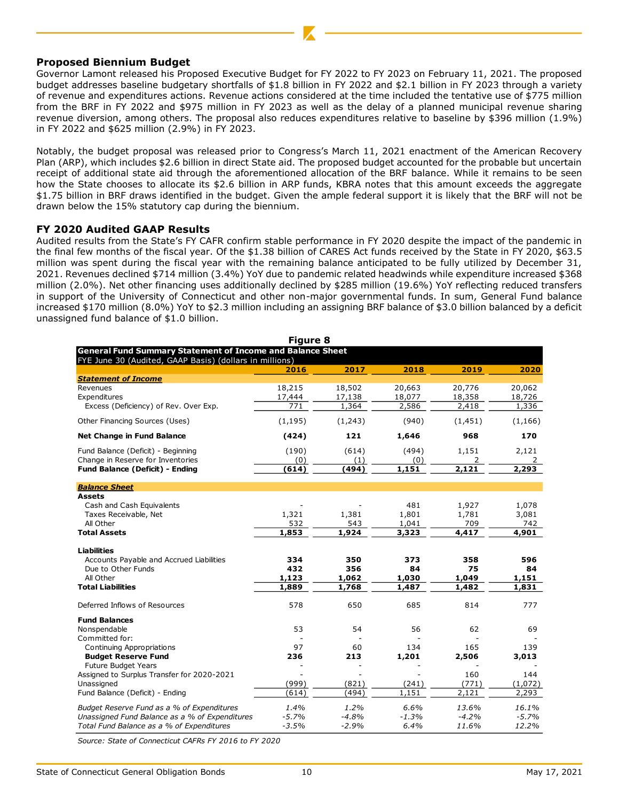#### **Proposed Biennium Budget**

Governor Lamont released his Proposed Executive Budget for FY 2022 to FY 2023 on February 11, 2021. The proposed budget addresses baseline budgetary shortfalls of \$1.8 billion in FY 2022 and \$2.1 billion in FY 2023 through a variety of revenue and expenditures actions. Revenue actions considered at the time included the tentative use of \$775 million from the BRF in FY 2022 and \$975 million in FY 2023 as well as the delay of a planned municipal revenue sharing revenue diversion, among others. The proposal also reduces expenditures relative to baseline by \$396 million (1.9%) in FY 2022 and \$625 million (2.9%) in FY 2023.

Notably, the budget proposal was released prior to Congress's March 11, 2021 enactment of the American Recovery Plan (ARP), which includes \$2.6 billion in direct State aid. The proposed budget accounted for the probable but uncertain receipt of additional state aid through the aforementioned allocation of the BRF balance. While it remains to be seen how the State chooses to allocate its \$2.6 billion in ARP funds, KBRA notes that this amount exceeds the aggregate \$1.75 billion in BRF draws identified in the budget. Given the ample federal support it is likely that the BRF will not be drawn below the 15% statutory cap during the biennium.

#### **FY 2020 Audited GAAP Results**

Audited results from the State's FY CAFR confirm stable performance in FY 2020 despite the impact of the pandemic in the final few months of the fiscal year. Of the \$1.38 billion of CARES Act funds received by the State in FY 2020, \$63.5 million was spent during the fiscal year with the remaining balance anticipated to be fully utilized by December 31, 2021. Revenues declined \$714 million (3.4%) YoY due to pandemic related headwinds while expenditure increased \$368 million (2.0%). Net other financing uses additionally declined by \$285 million (19.6%) YoY reflecting reduced transfers in support of the University of Connecticut and other non-major governmental funds. In sum, General Fund balance increased \$170 million (8.0%) YoY to \$2.3 million including an assigning BRF balance of \$3.0 billion balanced by a deficit unassigned fund balance of \$1.0 billion.

| <b>Figure 8</b>                                                   |          |         |         |          |          |  |
|-------------------------------------------------------------------|----------|---------|---------|----------|----------|--|
| <b>General Fund Summary Statement of Income and Balance Sheet</b> |          |         |         |          |          |  |
| FYE June 30 (Audited, GAAP Basis) (dollars in millions)           | 2016     | 2017    | 2018    | 2019     | 2020     |  |
| <b>Statement of Income</b>                                        |          |         |         |          |          |  |
| Revenues                                                          | 18,215   | 18,502  | 20,663  | 20,776   | 20,062   |  |
| Expenditures                                                      | 17,444   | 17,138  | 18,077  | 18,358   | 18,726   |  |
| Excess (Deficiency) of Rev. Over Exp.                             | 771      | 1,364   | 2,586   | 2,418    | 1,336    |  |
| Other Financing Sources (Uses)                                    | (1, 195) | (1,243) | (940)   | (1, 451) | (1, 166) |  |
| Net Change in Fund Balance                                        | (424)    | 121     | 1,646   | 968      | 170      |  |
| Fund Balance (Deficit) - Beginning                                | (190)    | (614)   | (494)   | 1,151    | 2,121    |  |
| Change in Reserve for Inventories                                 | (0)      | (1)     | (0)     | 2        | 2        |  |
| <b>Fund Balance (Deficit) - Ending</b>                            | (614)    | (494)   | 1,151   | 2,121    | 2,293    |  |
| <b>Balance Sheet</b>                                              |          |         |         |          |          |  |
| <b>Assets</b>                                                     |          |         |         |          |          |  |
| Cash and Cash Equivalents                                         |          |         | 481     | 1,927    | 1,078    |  |
| Taxes Receivable, Net                                             | 1,321    | 1,381   | 1,801   | 1,781    | 3,081    |  |
| All Other                                                         | 532      | 543     | 1,041   | 709      | 742      |  |
| <b>Total Assets</b>                                               | 1,853    | 1,924   | 3,323   | 4,417    | 4,901    |  |
| <b>Liabilities</b>                                                |          |         |         |          |          |  |
| Accounts Payable and Accrued Liabilities                          | 334      | 350     | 373     | 358      | 596      |  |
| Due to Other Funds                                                | 432      | 356     | 84      | 75       | 84       |  |
| All Other                                                         | 1,123    | 1,062   | 1,030   | 1,049    | 1,151    |  |
| <b>Total Liabilities</b>                                          | 1,889    | 1,768   | 1,487   | 1,482    | 1,831    |  |
| Deferred Inflows of Resources                                     | 578      | 650     | 685     | 814      | 777      |  |
| <b>Fund Balances</b>                                              |          |         |         |          |          |  |
| Nonspendable                                                      | 53       | 54      | 56      | 62       | 69       |  |
| Committed for:                                                    |          |         |         |          |          |  |
| Continuing Appropriations                                         | 97       | 60      | 134     | 165      | 139      |  |
| <b>Budget Reserve Fund</b>                                        | 236      | 213     | 1,201   | 2,506    | 3,013    |  |
| Future Budget Years                                               |          |         |         |          |          |  |
| Assigned to Surplus Transfer for 2020-2021                        |          |         |         | 160      | 144      |  |
| Unassigned                                                        | (999)    | (821)   | (241)   | (771)    | (1,072)  |  |
| Fund Balance (Deficit) - Ending                                   | (614)    | (494)   | 1,151   | 2,121    | 2,293    |  |
| Budget Reserve Fund as a % of Expenditures                        | 1.4%     | 1.2%    | 6.6%    | 13.6%    | 16.1%    |  |
| Unassigned Fund Balance as a % of Expenditures                    | $-5.7%$  | $-4.8%$ | $-1.3%$ | $-4.2%$  | $-5.7%$  |  |
| Total Fund Balance as a % of Expenditures                         | $-3.5%$  | $-2.9%$ | 6.4%    | 11.6%    | 12.2%    |  |

*Source: State of Connecticut CAFRs FY 2016 to FY 2020*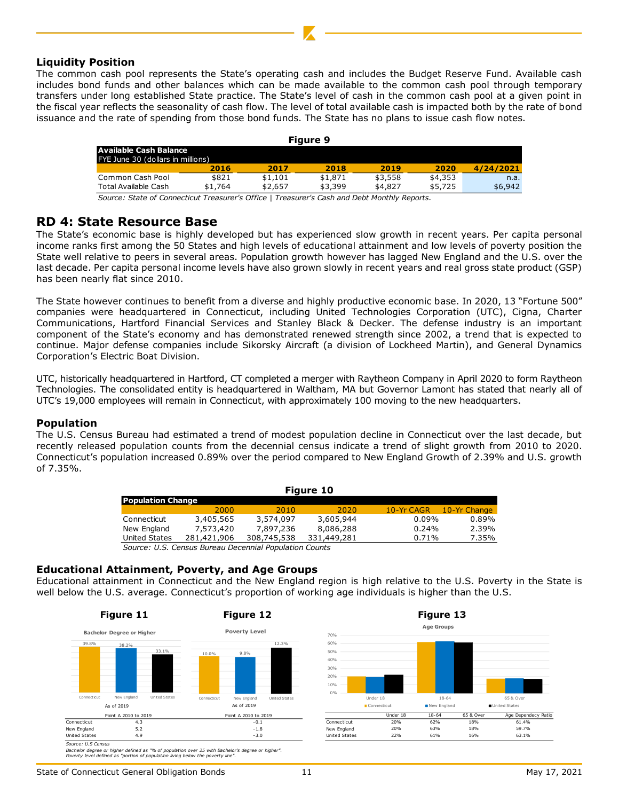#### **Liquidity Position**

The common cash pool represents the State's operating cash and includes the Budget Reserve Fund. Available cash includes bond funds and other balances which can be made available to the common cash pool through temporary transfers under long established State practice. The State's level of cash in the common cash pool at a given point in the fiscal year reflects the seasonality of cash flow. The level of total available cash is impacted both by the rate of bond issuance and the rate of spending from those bond funds. The State has no plans to issue cash flow notes.

| Figure 9                          |         |         |         |         |         |           |
|-----------------------------------|---------|---------|---------|---------|---------|-----------|
| Available Cash Balance            |         |         |         |         |         |           |
| FYE June 30 (dollars in millions) |         |         |         |         |         |           |
|                                   | 2016    | 2017    | 2018    | 2019    | 2020    | 4/24/2021 |
| Common Cash Pool                  | \$821   | \$1.101 | \$1,871 | \$3,558 | \$4,353 | n.a.      |
| Total Available Cash              | \$1,764 | \$2,657 | \$3,399 | \$4.827 | \$5,725 | \$6,942   |
|                                   |         |         |         |         |         |           |

*Source: State of Connecticut Treasurer's Office | Treasurer's Cash and Debt Monthly Reports.*

## **RD 4: State Resource Base**

The State's economic base is highly developed but has experienced slow growth in recent years. Per capita personal income ranks first among the 50 States and high levels of educational attainment and low levels of poverty position the State well relative to peers in several areas. Population growth however has lagged New England and the U.S. over the last decade. Per capita personal income levels have also grown slowly in recent years and real gross state product (GSP) has been nearly flat since 2010.

The State however continues to benefit from a diverse and highly productive economic base. In 2020, 13 "Fortune 500" companies were headquartered in Connecticut, including United Technologies Corporation (UTC), Cigna, Charter Communications, Hartford Financial Services and Stanley Black & Decker. The defense industry is an important component of the State's economy and has demonstrated renewed strength since 2002, a trend that is expected to continue. Major defense companies include Sikorsky Aircraft (a division of Lockheed Martin), and General Dynamics Corporation's Electric Boat Division.

UTC, historically headquartered in Hartford, CT completed a merger with Raytheon Company in April 2020 to form Raytheon Technologies. The consolidated entity is headquartered in Waltham, MA but Governor Lamont has stated that nearly all of UTC's 19,000 employees will remain in Connecticut, with approximately 100 moving to the new headquarters.

## **Population**

The U.S. Census Bureau had estimated a trend of modest population decline in Connecticut over the last decade, but recently released population counts from the decennial census indicate a trend of slight growth from 2010 to 2020. Connecticut's population increased 0.89% over the period compared to New England Growth of 2.39% and U.S. growth of 7.35%.

| Figure 10                |                                                        |             |             |            |              |  |  |
|--------------------------|--------------------------------------------------------|-------------|-------------|------------|--------------|--|--|
| <b>Population Change</b> |                                                        |             |             |            |              |  |  |
|                          | 2000                                                   | 2010        | 2020        | 10-Yr CAGR | 10-Yr Change |  |  |
| Connecticut              | 3,405,565                                              | 3,574,097   | 3,605,944   | $0.09\%$   | 0.89%        |  |  |
| New England              | 7,573,420                                              | 7,897,236   | 8,086,288   | 0.24%      | 2.39%        |  |  |
| United States            | 281,421,906                                            | 308,745,538 | 331,449,281 | 0.71%      | 7.35%        |  |  |
|                          | Source: U.S. Census Bureau Decennial Population Counts |             |             |            |              |  |  |

## **Educational Attainment, Poverty, and Age Groups**

Educational attainment in Connecticut and the New England region is high relative to the U.S. Poverty in the State is well below the U.S. average. Connecticut's proportion of working age individuals is higher than the U.S.



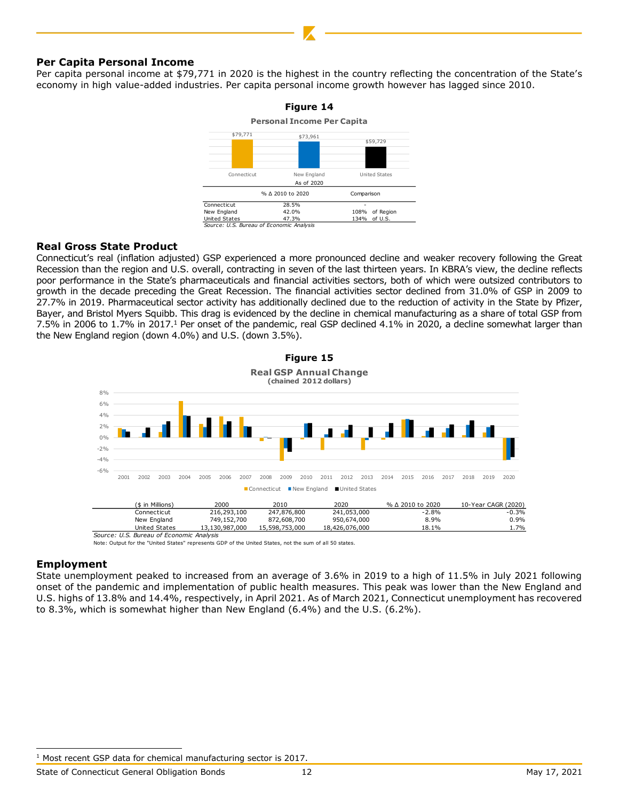#### **Per Capita Personal Income**

Per capita personal income at \$79,771 in 2020 is the highest in the country reflecting the concentration of the State's economy in high value-added industries. Per capita personal income growth however has lagged since 2010.



#### **Real Gross State Product**

Connecticut's real (inflation adjusted) GSP experienced a more pronounced decline and weaker recovery following the Great Recession than the region and U.S. overall, contracting in seven of the last thirteen years. In KBRA's view, the decline reflects poor performance in the State's pharmaceuticals and financial activities sectors, both of which were outsized contributors to growth in the decade preceding the Great Recession. The financial activities sector declined from 31.0% of GSP in 2009 to 27.7% in 2019. Pharmaceutical sector activity has additionally declined due to the reduction of activity in the State by Pfizer, Bayer, and Bristol Myers Squibb. This drag is evidenced by the decline in chemical manufacturing as a share of total GSP from 7.5% in 2006 to 1.7% in 2017.<sup>1</sup> Per onset of the pandemic, real GSP declined 4.1% in 2020, a decline somewhat larger than the New England region (down 4.0%) and U.S. (down 3.5%).



Note: Output for the "United States" represents GDP of the United States, not the sum of all 50 states.

#### **Employment**

State unemployment peaked to increased from an average of 3.6% in 2019 to a high of 11.5% in July 2021 following onset of the pandemic and implementation of public health measures. This peak was lower than the New England and U.S. highs of 13.8% and 14.4%, respectively, in April 2021. As of March 2021, Connecticut unemployment has recovered to 8.3%, which is somewhat higher than New England (6.4%) and the U.S. (6.2%).

<sup>&</sup>lt;sup>1</sup> Most recent GSP data for chemical manufacturing sector is 2017.

State of Connecticut General Obligation Bonds 12 12 May 17, 2021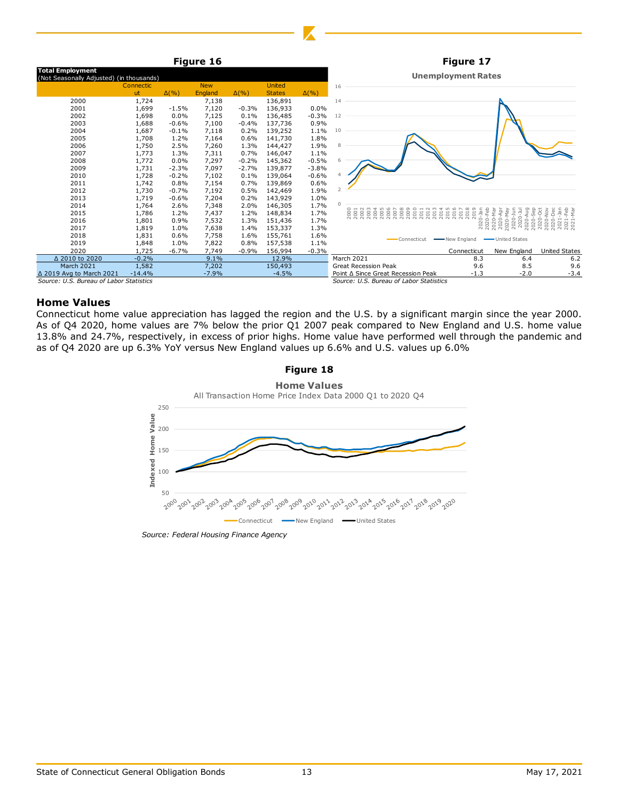

## **Home Values**

Connecticut home value appreciation has lagged the region and the U.S. by a significant margin since the year 2000. As of Q4 2020, home values are 7% below the prior Q1 2007 peak compared to New England and U.S. home value 13.8% and 24.7%, respectively, in excess of prior highs. Home value have performed well through the pandemic and as of Q4 2020 are up 6.3% YoY versus New England values up 6.6% and U.S. values up 6.0%



*Source: Federal Housing Finance Agency*